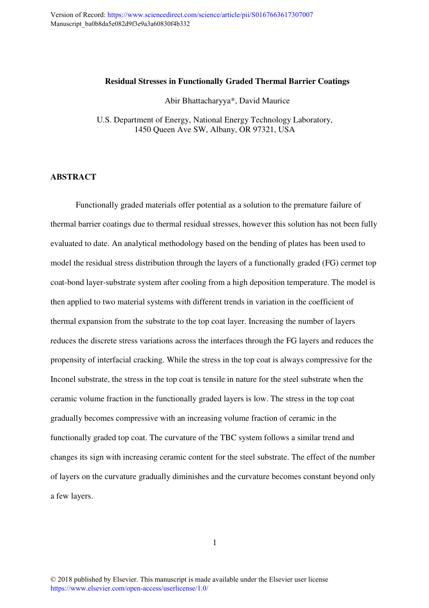#### **Residual Stresses in Functionally Graded Thermal Barrier Coatings**

Abir Bhattacharyya\*, David Maurice

U.S. Department of Energy, National Energy Technology Laboratory, 1450 Queen Ave SW, Albany, OR 97321, USA

### **ABSTRACT**

Functionally graded materials offer potential as a solution to the premature failure of thermal barrier coatings due to thermal residual stresses, however this solution has not been fully evaluated to date. An analytical methodology based on the bending of plates has been used to model the residual stress distribution through the layers of a functionally graded (FG) cermet top coat-bond layer-substrate system after cooling from a high deposition temperature. The model is then applied to two material systems with different trends in variation in the coefficient of thermal expansion from the substrate to the top coat layer. Increasing the number of layers reduces the discrete stress variations across the interfaces through the FG layers and reduces the propensity of interfacial cracking. While the stress in the top coat is always compressive for the Inconel substrate, the stress in the top coat is tensile in nature for the steel substrate when the ceramic volume fraction in the functionally graded layers is low. The stress in the top coat gradually becomes compressive with an increasing volume fraction of ceramic in the functionally graded top coat. The curvature of the TBC system follows a similar trend and changes its sign with increasing ceramic content for the steel substrate. The effect of the number of layers on the curvature gradually diminishes and the curvature becomes constant beyond only a few layers.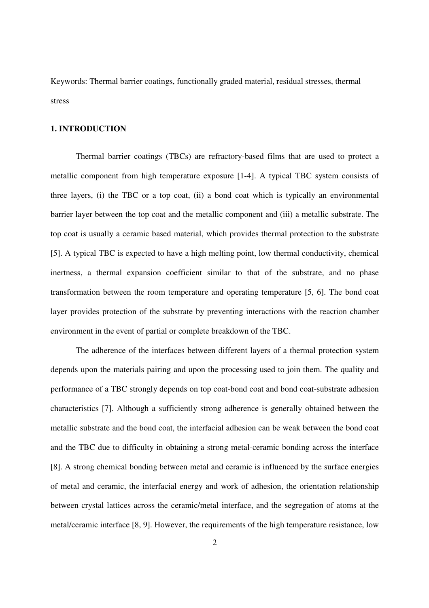Keywords: Thermal barrier coatings, functionally graded material, residual stresses, thermal stress

#### **1. INTRODUCTION**

Thermal barrier coatings (TBCs) are refractory-based films that are used to protect a metallic component from high temperature exposure [1-4]. A typical TBC system consists of three layers, (i) the TBC or a top coat, (ii) a bond coat which is typically an environmental barrier layer between the top coat and the metallic component and (iii) a metallic substrate. The top coat is usually a ceramic based material, which provides thermal protection to the substrate [5]. A typical TBC is expected to have a high melting point, low thermal conductivity, chemical inertness, a thermal expansion coefficient similar to that of the substrate, and no phase transformation between the room temperature and operating temperature [5, 6]. The bond coat layer provides protection of the substrate by preventing interactions with the reaction chamber environment in the event of partial or complete breakdown of the TBC.

The adherence of the interfaces between different layers of a thermal protection system depends upon the materials pairing and upon the processing used to join them. The quality and performance of a TBC strongly depends on top coat-bond coat and bond coat-substrate adhesion characteristics [7]. Although a sufficiently strong adherence is generally obtained between the metallic substrate and the bond coat, the interfacial adhesion can be weak between the bond coat and the TBC due to difficulty in obtaining a strong metal-ceramic bonding across the interface [8]. A strong chemical bonding between metal and ceramic is influenced by the surface energies of metal and ceramic, the interfacial energy and work of adhesion, the orientation relationship between crystal lattices across the ceramic/metal interface, and the segregation of atoms at the metal/ceramic interface [8, 9]. However, the requirements of the high temperature resistance, low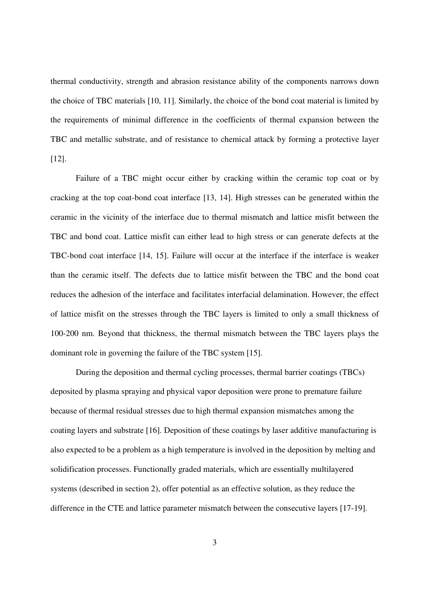thermal conductivity, strength and abrasion resistance ability of the components narrows down the choice of TBC materials [10, 11]. Similarly, the choice of the bond coat material is limited by the requirements of minimal difference in the coefficients of thermal expansion between the TBC and metallic substrate, and of resistance to chemical attack by forming a protective layer [12].

Failure of a TBC might occur either by cracking within the ceramic top coat or by cracking at the top coat-bond coat interface [13, 14]. High stresses can be generated within the ceramic in the vicinity of the interface due to thermal mismatch and lattice misfit between the TBC and bond coat. Lattice misfit can either lead to high stress or can generate defects at the TBC-bond coat interface [14, 15]. Failure will occur at the interface if the interface is weaker than the ceramic itself. The defects due to lattice misfit between the TBC and the bond coat reduces the adhesion of the interface and facilitates interfacial delamination. However, the effect of lattice misfit on the stresses through the TBC layers is limited to only a small thickness of 100-200 nm. Beyond that thickness, the thermal mismatch between the TBC layers plays the dominant role in governing the failure of the TBC system [15].

During the deposition and thermal cycling processes, thermal barrier coatings (TBCs) deposited by plasma spraying and physical vapor deposition were prone to premature failure because of thermal residual stresses due to high thermal expansion mismatches among the coating layers and substrate [16]. Deposition of these coatings by laser additive manufacturing is also expected to be a problem as a high temperature is involved in the deposition by melting and solidification processes. Functionally graded materials, which are essentially multilayered systems (described in section 2), offer potential as an effective solution, as they reduce the difference in the CTE and lattice parameter mismatch between the consecutive layers [17-19].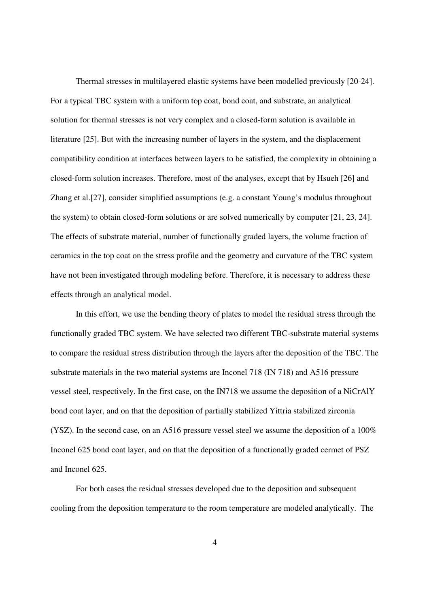Thermal stresses in multilayered elastic systems have been modelled previously [20-24]. For a typical TBC system with a uniform top coat, bond coat, and substrate, an analytical solution for thermal stresses is not very complex and a closed-form solution is available in literature [25]. But with the increasing number of layers in the system, and the displacement compatibility condition at interfaces between layers to be satisfied, the complexity in obtaining a closed-form solution increases. Therefore, most of the analyses, except that by Hsueh [26] and Zhang et al.[27], consider simplified assumptions (e.g. a constant Young's modulus throughout the system) to obtain closed-form solutions or are solved numerically by computer [21, 23, 24]. The effects of substrate material, number of functionally graded layers, the volume fraction of ceramics in the top coat on the stress profile and the geometry and curvature of the TBC system have not been investigated through modeling before. Therefore, it is necessary to address these effects through an analytical model.

In this effort, we use the bending theory of plates to model the residual stress through the functionally graded TBC system. We have selected two different TBC-substrate material systems to compare the residual stress distribution through the layers after the deposition of the TBC. The substrate materials in the two material systems are Inconel 718 (IN 718) and A516 pressure vessel steel, respectively. In the first case, on the IN718 we assume the deposition of a NiCrAlY bond coat layer, and on that the deposition of partially stabilized Yittria stabilized zirconia (YSZ). In the second case, on an A516 pressure vessel steel we assume the deposition of a 100% Inconel 625 bond coat layer, and on that the deposition of a functionally graded cermet of PSZ and Inconel 625.

For both cases the residual stresses developed due to the deposition and subsequent cooling from the deposition temperature to the room temperature are modeled analytically. The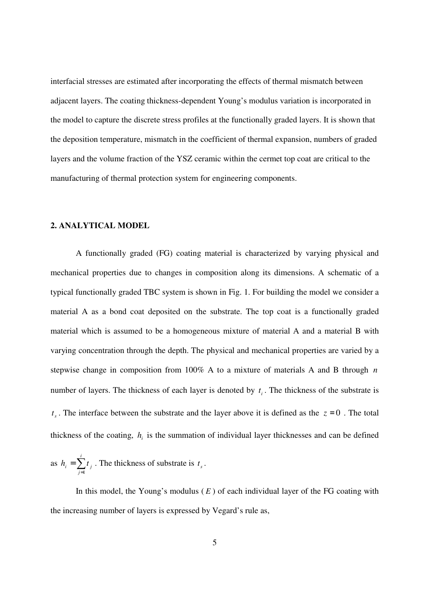interfacial stresses are estimated after incorporating the effects of thermal mismatch between adjacent layers. The coating thickness-dependent Young's modulus variation is incorporated in the model to capture the discrete stress profiles at the functionally graded layers. It is shown that the deposition temperature, mismatch in the coefficient of thermal expansion, numbers of graded layers and the volume fraction of the YSZ ceramic within the cermet top coat are critical to the manufacturing of thermal protection system for engineering components.

# **2. ANALYTICAL MODEL**

A functionally graded (FG) coating material is characterized by varying physical and mechanical properties due to changes in composition along its dimensions. A schematic of a typical functionally graded TBC system is shown in Fig. 1. For building the model we consider a material A as a bond coat deposited on the substrate. The top coat is a functionally graded material which is assumed to be a homogeneous mixture of material A and a material B with varying concentration through the depth. The physical and mechanical properties are varied by a stepwise change in composition from 100% A to a mixture of materials A and B through *n* number of layers. The thickness of each layer is denoted by  $t_i$ . The thickness of the substrate is  $t_s$ . The interface between the substrate and the layer above it is defined as the  $z = 0$ . The total thickness of the coating,  $h_i$  is the summation of individual layer thicknesses and can be defined

as 
$$
h_i = \sum_{j=1}^{i} t_j
$$
. The thickness of substrate is  $t_s$ .

In this model, the Young's modulus  $(E)$  of each individual layer of the FG coating with the increasing number of layers is expressed by Vegard's rule as,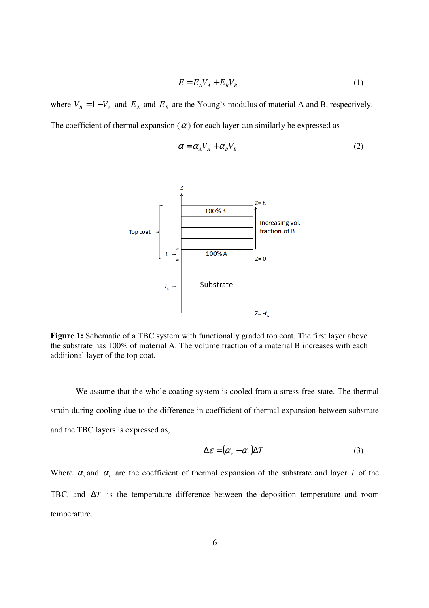$$
E = E_A V_A + E_B V_B \tag{1}
$$

where  $V_B = 1 - V_A$  and  $E_A$  and  $E_B$  are the Young's modulus of material A and B, respectively. The coefficient of thermal expansion ( $\alpha$ ) for each layer can similarly be expressed as

$$
\alpha = \alpha_A V_A + \alpha_B V_B \tag{2}
$$



Figure 1: Schematic of a TBC system with functionally graded top coat. The first layer above the substrate has 100% of material A. The volume fraction of a material B increases with each additional layer of the top coat.

We assume that the whole coating system is cooled from a stress-free state. The thermal strain during cooling due to the difference in coefficient of thermal expansion between substrate and the TBC layers is expressed as,

$$
\Delta \varepsilon = (\alpha_s - \alpha_i) \Delta T \tag{3}
$$

Where  $\alpha_s$  and  $\alpha_i$  are the coefficient of thermal expansion of the substrate and layer *i* of the TBC, and ∆*T* is the temperature difference between the deposition temperature and room temperature.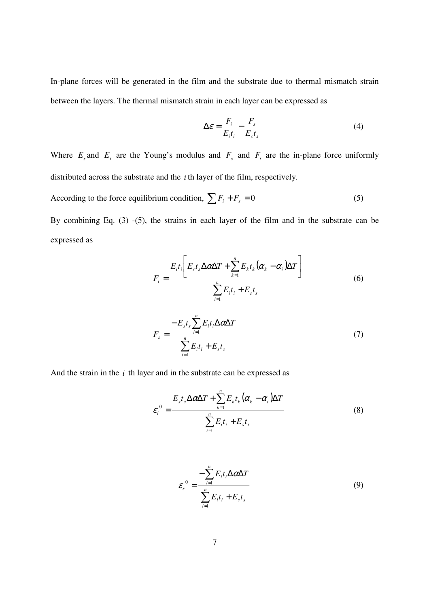In-plane forces will be generated in the film and the substrate due to thermal mismatch strain between the layers. The thermal mismatch strain in each layer can be expressed as

$$
\Delta \varepsilon = \frac{F_i}{E_i t_i} - \frac{F_s}{E_s t_s} \tag{4}
$$

Where  $E_s$  and  $E_i$  are the Young's modulus and  $F_s$  and  $F_i$  are the in-plane force uniformly distributed across the substrate and the *i* th layer of the film, respectively.

According to the force equilibrium condition,  $\sum F_i + F_s = 0$  (5)

By combining Eq. (3) -(5), the strains in each layer of the film and in the substrate can be expressed as

$$
F_i = \frac{E_i t_i \left[E_s t_s \Delta \alpha \Delta T + \sum_{k=1}^n E_k t_k (\alpha_k - \alpha_i) \Delta T\right]}{\sum_{i=1}^n E_i t_i + E_s t_s}
$$
(6)

$$
F_s = \frac{-E_s t_s \sum_{i=1}^n E_i t_i \Delta \alpha \Delta T}{\sum_{i=1}^n E_i t_i + E_s t_s}
$$
(7)

And the strain in the *i* th layer and in the substrate can be expressed as

$$
\varepsilon_i^0 = \frac{E_s t_s \Delta \alpha \Delta T + \sum_{k=1}^n E_k t_k (\alpha_k - \alpha_i) \Delta T}{\sum_{i=1}^n E_i t_i + E_s t_s}
$$
(8)

$$
\varepsilon_{s}^{0} = \frac{-\sum_{i=1}^{n} E_{i} t_{i} \Delta \alpha \Delta T}{\sum_{i=1}^{n} E_{i} t_{i} + E_{s} t_{s}}
$$
(9)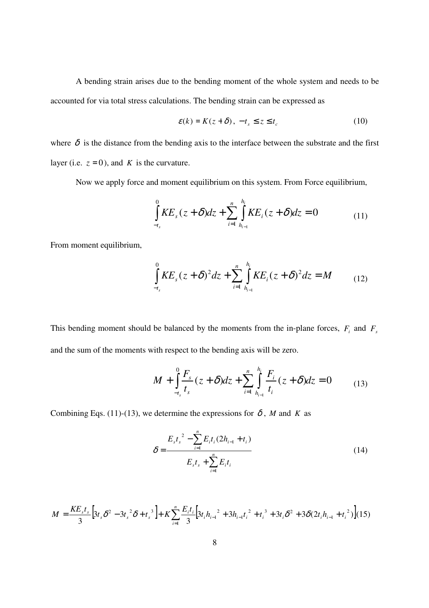A bending strain arises due to the bending moment of the whole system and needs to be accounted for via total stress calculations. The bending strain can be expressed as

$$
\varepsilon(k) = K(z + \delta), \ -t_s \le z \le t_c \tag{10}
$$

where  $\delta$  is the distance from the bending axis to the interface between the substrate and the first layer (i.e.  $z = 0$ ), and *K* is the curvature.

Now we apply force and moment equilibrium on this system. From Force equilibrium,

$$
\int_{-t_s}^{0} KE_s(z+\delta)dz + \sum_{i=1}^{n} \int_{h_{i-1}}^{h_i} KE_i(z+\delta)dz = 0
$$
\n(11)

From moment equilibrium,

$$
\int_{-t_s}^{0} KE_s (z + \delta)^2 dz + \sum_{i=1}^{n} \int_{h_{i-1}}^{h_i} KE_i (z + \delta)^2 dz = M
$$
 (12)

This bending moment should be balanced by the moments from the in-plane forces,  $F_i$  and  $F_s$ and the sum of the moments with respect to the bending axis will be zero.

$$
M + \int_{-t_s}^{0} \frac{F_s}{t_s} (z + \delta) dz + \sum_{i=1}^{n} \int_{h_{i-1}}^{h_i} \frac{F_i}{t_i} (z + \delta) dz = 0
$$
 (13)

Combining Eqs. (11)-(13), we determine the expressions for  $\delta$ , *M* and *K* as

$$
\delta = \frac{E_s t_s^2 - \sum_{i=1}^n E_i t_i (2h_{i-1} + t_i)}{E_s t_s + \sum_{i=1}^n E_i t_i}
$$
(14)

$$
M = \frac{KE_s t_s}{3} \Big[ 3t_s \delta^2 - 3t_s^2 \delta + t_s^3 \Big] + K \sum_{i=1}^n \frac{E_i t_i}{3} \Big[ 3t_i h_{i-1}^2 + 3h_{i-1} t_i^2 + t_i^3 + 3t_i \delta^2 + 3\delta(2t_i h_{i-1} + t_i^2) \Big] (15)
$$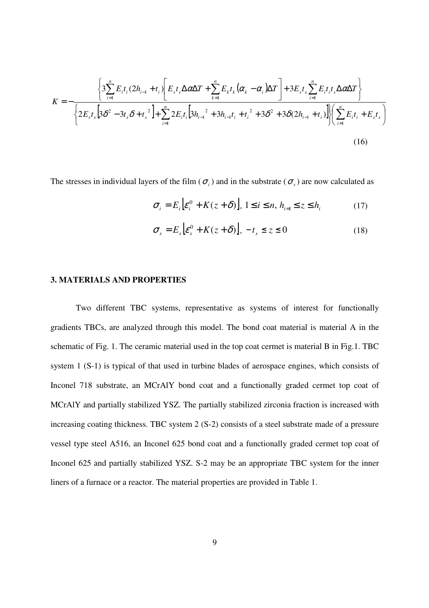$$
K = -\frac{\left\{3\sum_{i=1}^{n} E_{i} t_{i} (2h_{i-1} + t_{i}) \left[E_{s} t_{s} \Delta \alpha \Delta T + \sum_{k=1}^{n} E_{k} t_{k} (\alpha_{k} - \alpha_{i}) \Delta T\right] + 3E_{s} t_{s} \sum_{i=1}^{n} E_{i} t_{i} t_{s} \Delta \alpha \Delta T\right\}}{\left\{2E_{s} t_{s} \left[3\delta^{2} - 3t_{s} \delta + t_{s}^{2}\right] + \sum_{i=1}^{n} 2E_{i} t_{i} \left[3h_{i-1}^{2} + 3h_{i-1} t_{i} + t_{i}^{2} + 3\delta^{2} + 3\delta(2h_{i-1} + t_{i})\right]\right\}\left(\sum_{i=1}^{n} E_{i} t_{i} + E_{s} t_{s}\right)}
$$
\n(16)

The stresses in individual layers of the film ( $\sigma_i$ ) and in the substrate ( $\sigma_s$ ) are now calculated as

$$
\sigma_i = E_i \Big[ \varepsilon_i^0 + K(z + \delta) \Big], \ 1 \le i \le n, \ h_{i=1} \le z \le h_i \tag{17}
$$

$$
\sigma_s = E_s \Big[ \varepsilon_s^0 + K(z + \delta) \Big], \ -t_s \le z \le 0 \tag{18}
$$

## **3. MATERIALS AND PROPERTIES**

Two different TBC systems, representative as systems of interest for functionally gradients TBCs, are analyzed through this model. The bond coat material is material A in the schematic of Fig. 1. The ceramic material used in the top coat cermet is material B in Fig.1. TBC system 1 (S-1) is typical of that used in turbine blades of aerospace engines, which consists of Inconel 718 substrate, an MCrAlY bond coat and a functionally graded cermet top coat of MCrAlY and partially stabilized YSZ. The partially stabilized zirconia fraction is increased with increasing coating thickness. TBC system 2 (S-2) consists of a steel substrate made of a pressure vessel type steel A516, an Inconel 625 bond coat and a functionally graded cermet top coat of Inconel 625 and partially stabilized YSZ. S-2 may be an appropriate TBC system for the inner liners of a furnace or a reactor. The material properties are provided in Table 1.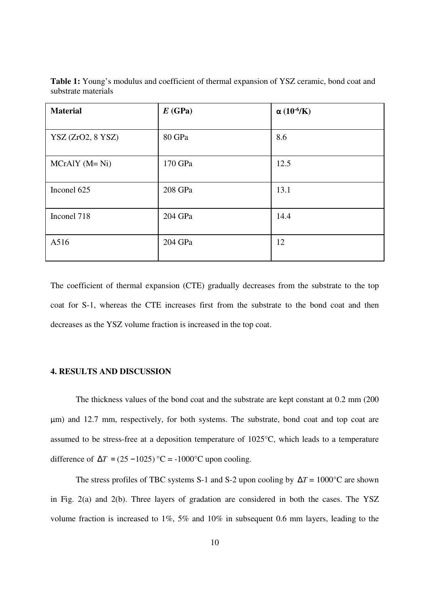| <b>Material</b>   | E(GPa)  | $\alpha$ (10 <sup>-6</sup> /K) |
|-------------------|---------|--------------------------------|
| YSZ (ZrO2, 8 YSZ) | 80 GPa  | 8.6                            |
| $MCrAlY (M=Ni)$   | 170 GPa | 12.5                           |
| Inconel 625       | 208 GPa | 13.1                           |
| Inconel 718       | 204 GPa | 14.4                           |
| A516              | 204 GPa | 12                             |

**Table 1:** Young's modulus and coefficient of thermal expansion of YSZ ceramic, bond coat and substrate materials

The coefficient of thermal expansion (CTE) gradually decreases from the substrate to the top coat for S-1, whereas the CTE increases first from the substrate to the bond coat and then decreases as the YSZ volume fraction is increased in the top coat.

### **4. RESULTS AND DISCUSSION**

The thickness values of the bond coat and the substrate are kept constant at 0.2 mm (200 μm) and 12.7 mm, respectively, for both systems. The substrate, bond coat and top coat are assumed to be stress-free at a deposition temperature of 1025°C, which leads to a temperature difference of  $\Delta T = (25 - 1025)$  °C = -1000°C upon cooling.

The stress profiles of TBC systems S-1 and S-2 upon cooling by ∆*T* = 1000°C are shown in Fig. 2(a) and 2(b). Three layers of gradation are considered in both the cases. The YSZ volume fraction is increased to 1%, 5% and 10% in subsequent 0.6 mm layers, leading to the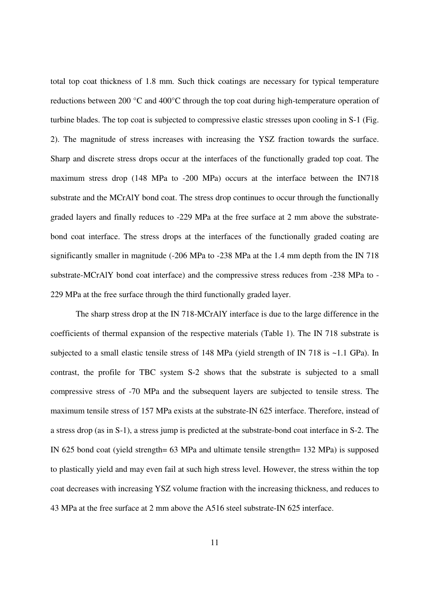total top coat thickness of 1.8 mm. Such thick coatings are necessary for typical temperature reductions between 200 °C and 400°C through the top coat during high-temperature operation of turbine blades. The top coat is subjected to compressive elastic stresses upon cooling in S-1 (Fig. 2). The magnitude of stress increases with increasing the YSZ fraction towards the surface. Sharp and discrete stress drops occur at the interfaces of the functionally graded top coat. The maximum stress drop (148 MPa to -200 MPa) occurs at the interface between the IN718 substrate and the MCrAlY bond coat. The stress drop continues to occur through the functionally graded layers and finally reduces to -229 MPa at the free surface at 2 mm above the substratebond coat interface. The stress drops at the interfaces of the functionally graded coating are significantly smaller in magnitude (-206 MPa to -238 MPa at the 1.4 mm depth from the IN 718 substrate-MCrAlY bond coat interface) and the compressive stress reduces from -238 MPa to - 229 MPa at the free surface through the third functionally graded layer.

The sharp stress drop at the IN 718-MCrAlY interface is due to the large difference in the coefficients of thermal expansion of the respective materials (Table 1). The IN 718 substrate is subjected to a small elastic tensile stress of 148 MPa (yield strength of IN 718 is  $\sim$ 1.1 GPa). In contrast, the profile for TBC system S-2 shows that the substrate is subjected to a small compressive stress of -70 MPa and the subsequent layers are subjected to tensile stress. The maximum tensile stress of 157 MPa exists at the substrate-IN 625 interface. Therefore, instead of a stress drop (as in S-1), a stress jump is predicted at the substrate-bond coat interface in S-2. The IN 625 bond coat (yield strength= 63 MPa and ultimate tensile strength= 132 MPa) is supposed to plastically yield and may even fail at such high stress level. However, the stress within the top coat decreases with increasing YSZ volume fraction with the increasing thickness, and reduces to 43 MPa at the free surface at 2 mm above the A516 steel substrate-IN 625 interface.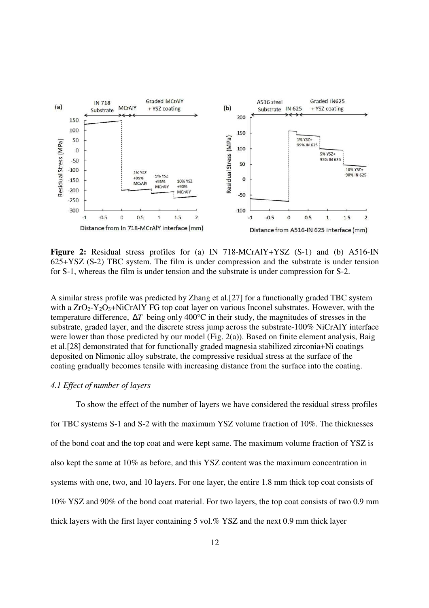

**Figure 2:** Residual stress profiles for (a) IN 718-MCrAlY+YSZ (S-1) and (b) A516-IN 625+YSZ (S-2) TBC system. The film is under compression and the substrate is under tension for S-1, whereas the film is under tension and the substrate is under compression for S-2.

A similar stress profile was predicted by Zhang et al.[27] for a functionally graded TBC system with a  $ZrO<sub>2</sub>-Y<sub>2</sub>O<sub>3</sub>+NiCrA<sub>1</sub>Y FG$  top coat layer on various Inconel substrates. However, with the temperature difference, ∆*T* being only 400°C in their study, the magnitudes of stresses in the substrate, graded layer, and the discrete stress jump across the substrate-100% NiCrAlY interface were lower than those predicted by our model (Fig. 2(a)). Based on finite element analysis, Baig et al.[28] demonstrated that for functionally graded magnesia stabilized zirconia+Ni coatings deposited on Nimonic alloy substrate, the compressive residual stress at the surface of the coating gradually becomes tensile with increasing distance from the surface into the coating.

#### *4.1 Effect of number of layers*

To show the effect of the number of layers we have considered the residual stress profiles for TBC systems S-1 and S-2 with the maximum YSZ volume fraction of 10%. The thicknesses of the bond coat and the top coat and were kept same. The maximum volume fraction of YSZ is also kept the same at 10% as before, and this YSZ content was the maximum concentration in systems with one, two, and 10 layers. For one layer, the entire 1.8 mm thick top coat consists of 10% YSZ and 90% of the bond coat material. For two layers, the top coat consists of two 0.9 mm thick layers with the first layer containing 5 vol.% YSZ and the next 0.9 mm thick layer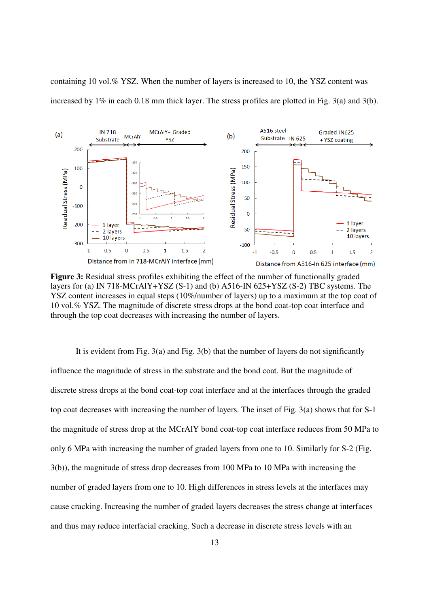containing 10 vol.% YSZ. When the number of layers is increased to 10, the YSZ content was increased by 1% in each 0.18 mm thick layer. The stress profiles are plotted in Fig. 3(a) and 3(b).



Figure 3: Residual stress profiles exhibiting the effect of the number of functionally graded layers for (a) IN 718-MCrAlY+YSZ (S-1) and (b) A516-IN 625+YSZ (S-2) TBC systems. The YSZ content increases in equal steps (10%/number of layers) up to a maximum at the top coat of 10 vol.% YSZ. The magnitude of discrete stress drops at the bond coat-top coat interface and through the top coat decreases with increasing the number of layers.

It is evident from Fig. 3(a) and Fig. 3(b) that the number of layers do not significantly influence the magnitude of stress in the substrate and the bond coat. But the magnitude of discrete stress drops at the bond coat-top coat interface and at the interfaces through the graded top coat decreases with increasing the number of layers. The inset of Fig. 3(a) shows that for S-1 the magnitude of stress drop at the MCrAlY bond coat-top coat interface reduces from 50 MPa to only 6 MPa with increasing the number of graded layers from one to 10. Similarly for S-2 (Fig. 3(b)), the magnitude of stress drop decreases from 100 MPa to 10 MPa with increasing the number of graded layers from one to 10. High differences in stress levels at the interfaces may cause cracking. Increasing the number of graded layers decreases the stress change at interfaces and thus may reduce interfacial cracking. Such a decrease in discrete stress levels with an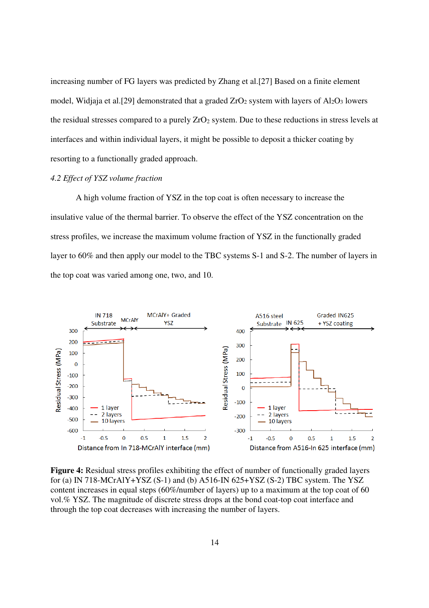increasing number of FG layers was predicted by Zhang et al.[27] Based on a finite element model, Widjaja et al. [29] demonstrated that a graded  $ZrO<sub>2</sub>$  system with layers of Al<sub>2</sub>O<sub>3</sub> lowers the residual stresses compared to a purely  $ZrO<sub>2</sub>$  system. Due to these reductions in stress levels at interfaces and within individual layers, it might be possible to deposit a thicker coating by resorting to a functionally graded approach.

### *4.2 Effect of YSZ volume fraction*

A high volume fraction of YSZ in the top coat is often necessary to increase the insulative value of the thermal barrier. To observe the effect of the YSZ concentration on the stress profiles, we increase the maximum volume fraction of YSZ in the functionally graded layer to 60% and then apply our model to the TBC systems S-1 and S-2. The number of layers in the top coat was varied among one, two, and 10.



**Figure 4:** Residual stress profiles exhibiting the effect of number of functionally graded layers for (a) IN 718-MCrAlY+YSZ (S-1) and (b)  $A516$ -IN 625+YSZ (S-2) TBC system. The YSZ content increases in equal steps (60%/number of layers) up to a maximum at the top coat of 60 vol.% YSZ. The magnitude of discrete stress drops at the bond coat-top coat interface and through the top coat decreases with increasing the number of layers.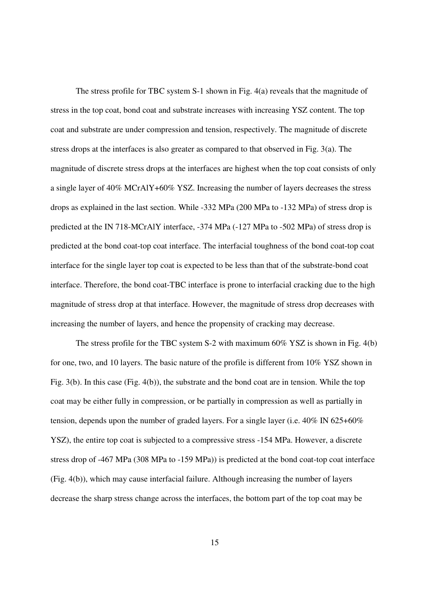The stress profile for TBC system S-1 shown in Fig. 4(a) reveals that the magnitude of stress in the top coat, bond coat and substrate increases with increasing YSZ content. The top coat and substrate are under compression and tension, respectively. The magnitude of discrete stress drops at the interfaces is also greater as compared to that observed in Fig. 3(a). The magnitude of discrete stress drops at the interfaces are highest when the top coat consists of only a single layer of 40% MCrAlY+60% YSZ. Increasing the number of layers decreases the stress drops as explained in the last section. While -332 MPa (200 MPa to -132 MPa) of stress drop is predicted at the IN 718-MCrAlY interface, -374 MPa (-127 MPa to -502 MPa) of stress drop is predicted at the bond coat-top coat interface. The interfacial toughness of the bond coat-top coat interface for the single layer top coat is expected to be less than that of the substrate-bond coat interface. Therefore, the bond coat-TBC interface is prone to interfacial cracking due to the high magnitude of stress drop at that interface. However, the magnitude of stress drop decreases with increasing the number of layers, and hence the propensity of cracking may decrease.

The stress profile for the TBC system S-2 with maximum 60% YSZ is shown in Fig. 4(b) for one, two, and 10 layers. The basic nature of the profile is different from 10% YSZ shown in Fig. 3(b). In this case (Fig. 4(b)), the substrate and the bond coat are in tension. While the top coat may be either fully in compression, or be partially in compression as well as partially in tension, depends upon the number of graded layers. For a single layer (i.e. 40% IN 625+60% YSZ), the entire top coat is subjected to a compressive stress -154 MPa. However, a discrete stress drop of -467 MPa (308 MPa to -159 MPa)) is predicted at the bond coat-top coat interface (Fig. 4(b)), which may cause interfacial failure. Although increasing the number of layers decrease the sharp stress change across the interfaces, the bottom part of the top coat may be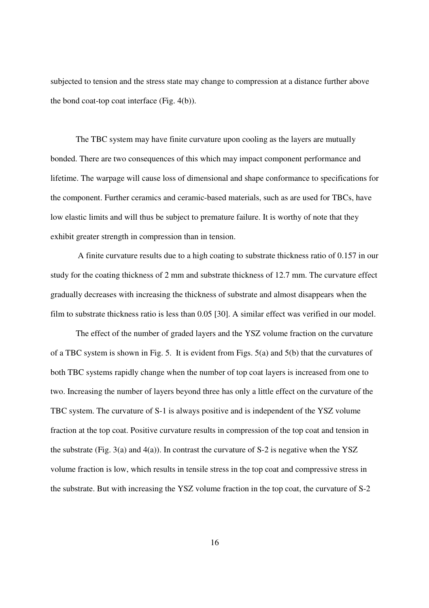subjected to tension and the stress state may change to compression at a distance further above the bond coat-top coat interface (Fig. 4(b)).

The TBC system may have finite curvature upon cooling as the layers are mutually bonded. There are two consequences of this which may impact component performance and lifetime. The warpage will cause loss of dimensional and shape conformance to specifications for the component. Further ceramics and ceramic-based materials, such as are used for TBCs, have low elastic limits and will thus be subject to premature failure. It is worthy of note that they exhibit greater strength in compression than in tension.

 A finite curvature results due to a high coating to substrate thickness ratio of 0.157 in our study for the coating thickness of 2 mm and substrate thickness of 12.7 mm. The curvature effect gradually decreases with increasing the thickness of substrate and almost disappears when the film to substrate thickness ratio is less than 0.05 [30]. A similar effect was verified in our model.

The effect of the number of graded layers and the YSZ volume fraction on the curvature of a TBC system is shown in Fig. 5. It is evident from Figs. 5(a) and 5(b) that the curvatures of both TBC systems rapidly change when the number of top coat layers is increased from one to two. Increasing the number of layers beyond three has only a little effect on the curvature of the TBC system. The curvature of S-1 is always positive and is independent of the YSZ volume fraction at the top coat. Positive curvature results in compression of the top coat and tension in the substrate (Fig. 3(a) and 4(a)). In contrast the curvature of S-2 is negative when the YSZ volume fraction is low, which results in tensile stress in the top coat and compressive stress in the substrate. But with increasing the YSZ volume fraction in the top coat, the curvature of S-2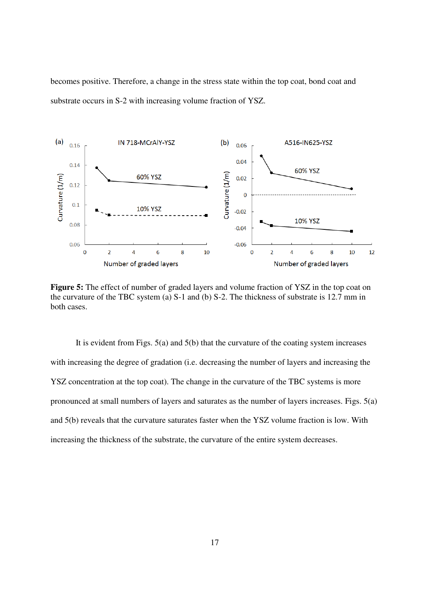becomes positive. Therefore, a change in the stress state within the top coat, bond coat and substrate occurs in S-2 with increasing volume fraction of YSZ.



**Figure 5:** The effect of number of graded layers and volume fraction of YSZ in the top coat on the curvature of the TBC system (a) S-1 and (b) S-2. The thickness of substrate is 12.7 mm in both cases.

It is evident from Figs. 5(a) and 5(b) that the curvature of the coating system increases with increasing the degree of gradation (i.e. decreasing the number of layers and increasing the YSZ concentration at the top coat). The change in the curvature of the TBC systems is more pronounced at small numbers of layers and saturates as the number of layers increases. Figs. 5(a) and 5(b) reveals that the curvature saturates faster when the YSZ volume fraction is low. With increasing the thickness of the substrate, the curvature of the entire system decreases.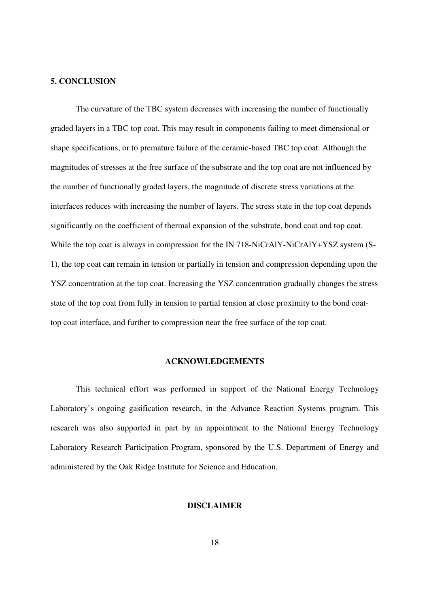### **5. CONCLUSION**

The curvature of the TBC system decreases with increasing the number of functionally graded layers in a TBC top coat. This may result in components failing to meet dimensional or shape specifications, or to premature failure of the ceramic-based TBC top coat. Although the magnitudes of stresses at the free surface of the substrate and the top coat are not influenced by the number of functionally graded layers, the magnitude of discrete stress variations at the interfaces reduces with increasing the number of layers. The stress state in the top coat depends significantly on the coefficient of thermal expansion of the substrate, bond coat and top coat. While the top coat is always in compression for the IN 718-NiCrAlY-NiCrAlY+YSZ system (S-1), the top coat can remain in tension or partially in tension and compression depending upon the YSZ concentration at the top coat. Increasing the YSZ concentration gradually changes the stress state of the top coat from fully in tension to partial tension at close proximity to the bond coattop coat interface, and further to compression near the free surface of the top coat.

### **ACKNOWLEDGEMENTS**

This technical effort was performed in support of the National Energy Technology Laboratory's ongoing gasification research, in the Advance Reaction Systems program. This research was also supported in part by an appointment to the National Energy Technology Laboratory Research Participation Program, sponsored by the U.S. Department of Energy and administered by the Oak Ridge Institute for Science and Education.

# **DISCLAIMER**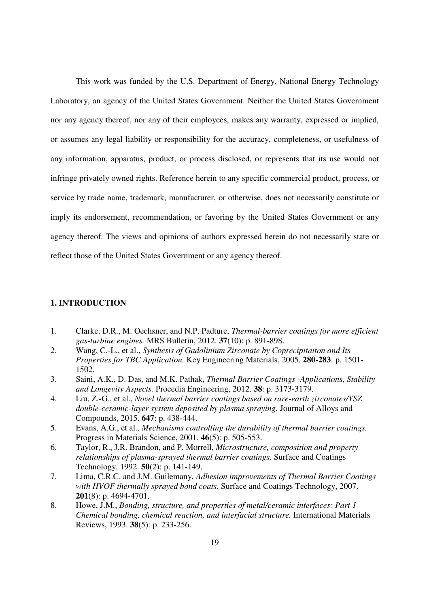This work was funded by the U.S. Department of Energy, National Energy Technology Laboratory, an agency of the United States Government. Neither the United States Government nor any agency thereof, nor any of their employees, makes any warranty, expressed or implied, or assumes any legal liability or responsibility for the accuracy, completeness, or usefulness of any information, apparatus, product, or process disclosed, or represents that its use would not infringe privately owned rights. Reference herein to any specific commercial product, process, or service by trade name, trademark, manufacturer, or otherwise, does not necessarily constitute or imply its endorsement, recommendation, or favoring by the United States Government or any agency thereof. The views and opinions of authors expressed herein do not necessarily state or reflect those of the United States Government or any agency thereof.

### **1. INTRODUCTION**

- 1. Clarke, D.R., M. Oechsner, and N.P. Padture, *Thermal-barrier coatings for more efficient gas-turbine engines.* MRS Bulletin, 2012. **37**(10): p. 891-898.
- 2. Wang, C.-L., et al., *Synthesis of Gadolinium Zirconate by Coprecipitaiton and Its Properties for TBC Application.* Key Engineering Materials, 2005. **280-283**: p. 1501- 1502.
- 3. Saini, A.K., D. Das, and M.K. Pathak, *Thermal Barrier Coatings -Applications, Stability and Longevity Aspects.* Procedia Engineering, 2012. **38**: p. 3173-3179.
- 4. Liu, Z.-G., et al., *Novel thermal barrier coatings based on rare-earth zirconates/YSZ double-ceramic-layer system deposited by plasma spraying.* Journal of Alloys and Compounds, 2015. **647**: p. 438-444.
- 5. Evans, A.G., et al., *Mechanisms controlling the durability of thermal barrier coatings.* Progress in Materials Science, 2001. **46**(5): p. 505-553.
- 6. Taylor, R., J.R. Brandon, and P. Morrell, *Microstructure, composition and property relationships of plasma-sprayed thermal barrier coatings.* Surface and Coatings Technology, 1992. **50**(2): p. 141-149.
- 7. Lima, C.R.C. and J.M. Guilemany, *Adhesion improvements of Thermal Barrier Coatings with HVOF thermally sprayed bond coats.* Surface and Coatings Technology, 2007. **201**(8): p. 4694-4701.
- 8. Howe, J.M., *Bonding, structure, and properties of metal/ceramic interfaces: Part 1 Chemical bonding, chemical reaction, and interfacial structure.* International Materials Reviews, 1993. **38**(5): p. 233-256.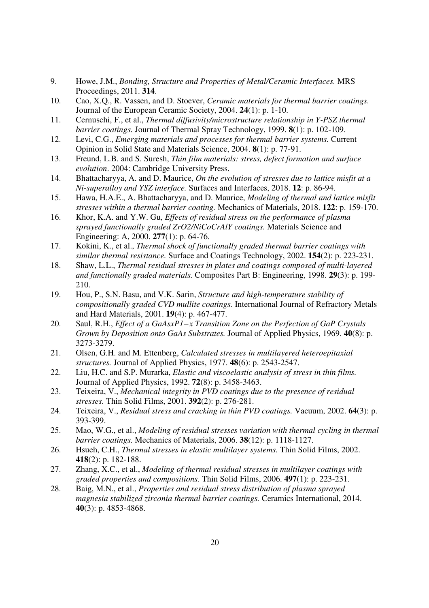- 9. Howe, J.M., *Bonding, Structure and Properties of Metal/Ceramic Interfaces.* MRS Proceedings, 2011. **314**.
- 10. Cao, X.Q., R. Vassen, and D. Stoever, *Ceramic materials for thermal barrier coatings.* Journal of the European Ceramic Society, 2004. **24**(1): p. 1-10.
- 11. Cernuschi, F., et al., *Thermal diffusivity/microstructure relationship in Y-PSZ thermal barrier coatings.* Journal of Thermal Spray Technology, 1999. **8**(1): p. 102-109.
- 12. Levi, C.G., *Emerging materials and processes for thermal barrier systems.* Current Opinion in Solid State and Materials Science, 2004. **8**(1): p. 77-91.
- 13. Freund, L.B. and S. Suresh, *Thin film materials: stress, defect formation and surface evolution*. 2004: Cambridge University Press.
- 14. Bhattacharyya, A. and D. Maurice, *On the evolution of stresses due to lattice misfit at a Ni-superalloy and YSZ interface.* Surfaces and Interfaces, 2018. **12**: p. 86-94.
- 15. Hawa, H.A.E., A. Bhattacharyya, and D. Maurice, *Modeling of thermal and lattice misfit stresses within a thermal barrier coating.* Mechanics of Materials, 2018. **122**: p. 159-170.
- 16. Khor, K.A. and Y.W. Gu, *Effects of residual stress on the performance of plasma sprayed functionally graded ZrO2/NiCoCrAlY coatings.* Materials Science and Engineering: A, 2000. **277**(1): p. 64-76.
- 17. Kokini, K., et al., *Thermal shock of functionally graded thermal barrier coatings with similar thermal resistance.* Surface and Coatings Technology, 2002. **154**(2): p. 223-231.
- 18. Shaw, L.L., *Thermal residual stresses in plates and coatings composed of multi-layered and functionally graded materials.* Composites Part B: Engineering, 1998. **29**(3): p. 199- 210.
- 19. Hou, P., S.N. Basu, and V.K. Sarin, *Structure and high-temperature stability of compositionally graded CVD mullite coatings.* International Journal of Refractory Metals and Hard Materials, 2001. **19**(4): p. 467-477.
- 20. Saul, R.H., *Effect of a GaAsxP1−x Transition Zone on the Perfection of GaP Crystals Grown by Deposition onto GaAs Substrates.* Journal of Applied Physics, 1969. **40**(8): p. 3273-3279.
- 21. Olsen, G.H. and M. Ettenberg, *Calculated stresses in multilayered heteroepitaxial structures.* Journal of Applied Physics, 1977. **48**(6): p. 2543-2547.
- 22. Liu, H.C. and S.P. Murarka, *Elastic and viscoelastic analysis of stress in thin films.* Journal of Applied Physics, 1992. **72**(8): p. 3458-3463.
- 23. Teixeira, V., *Mechanical integrity in PVD coatings due to the presence of residual stresses.* Thin Solid Films, 2001. **392**(2): p. 276-281.
- 24. Teixeira, V., *Residual stress and cracking in thin PVD coatings.* Vacuum, 2002. **64**(3): p. 393-399.
- 25. Mao, W.G., et al., *Modeling of residual stresses variation with thermal cycling in thermal barrier coatings.* Mechanics of Materials, 2006. **38**(12): p. 1118-1127.
- 26. Hsueh, C.H., *Thermal stresses in elastic multilayer systems.* Thin Solid Films, 2002. **418**(2): p. 182-188.
- 27. Zhang, X.C., et al., *Modeling of thermal residual stresses in multilayer coatings with graded properties and compositions.* Thin Solid Films, 2006. **497**(1): p. 223-231.
- 28. Baig, M.N., et al., *Properties and residual stress distribution of plasma sprayed magnesia stabilized zirconia thermal barrier coatings.* Ceramics International, 2014. **40**(3): p. 4853-4868.